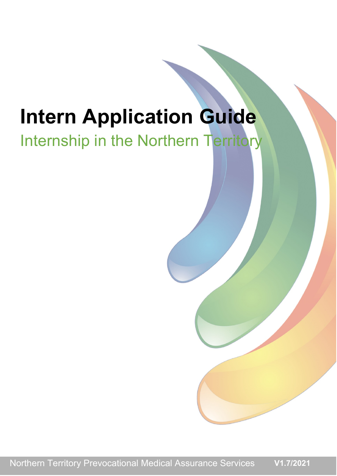# **Intern Application Guide**

# Internship in the Northern Territory

Northern Territory Prevocational Medical Assurance Services **V1.7/2021**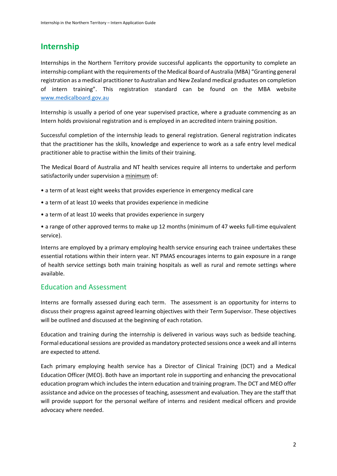# **Internship**

Internships in the Northern Territory provide successful applicants the opportunity to complete an internship compliant with the requirements of the Medical Board of Australia (MBA) "Granting general registration as a medical practitioner to Australian and New Zealand medical graduates on completion of intern training". This registration standard can be found on the MBA website [www.medicalboard.gov.au](http://www.medicalboard.gov.au/)

Internship is usually a period of one year supervised practice, where a graduate commencing as an Intern holds provisional registration and is employed in an accredited intern training position.

Successful completion of the internship leads to general registration. General registration indicates that the practitioner has the skills, knowledge and experience to work as a safe entry level medical practitioner able to practise within the limits of their training.

The Medical Board of Australia and NT health services require all interns to undertake and perform satisfactorily under supervision a minimum of:

- a term of at least eight weeks that provides experience in emergency medical care
- a term of at least 10 weeks that provides experience in medicine
- a term of at least 10 weeks that provides experience in surgery

• a range of other approved terms to make up 12 months (minimum of 47 weeks full-time equivalent service).

Interns are employed by a primary employing health service ensuring each trainee undertakes these essential rotations within their intern year. NT PMAS encourages interns to gain exposure in a range of health service settings both main training hospitals as well as rural and remote settings where available.

# Education and Assessment

Interns are formally assessed during each term. The assessment is an opportunity for interns to discuss their progress against agreed learning objectives with their Term Supervisor. These objectives will be outlined and discussed at the beginning of each rotation.

Education and training during the internship is delivered in various ways such as bedside teaching. Formal educational sessions are provided as mandatory protected sessions once a week and all interns are expected to attend.

Each primary employing health service has a Director of Clinical Training (DCT) and a Medical Education Officer (MEO). Both have an important role in supporting and enhancing the prevocational education program which includes the intern education and training program. The DCT and MEO offer assistance and advice on the processes of teaching, assessment and evaluation. They are the staff that will provide support for the personal welfare of interns and resident medical officers and provide advocacy where needed.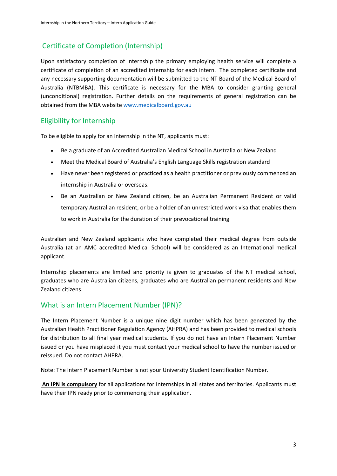# Certificate of Completion (Internship)

Upon satisfactory completion of internship the primary employing health service will complete a certificate of completion of an accredited internship for each intern. The completed certificate and any necessary supporting documentation will be submitted to the NT Board of the Medical Board of Australia (NTBMBA). This certificate is necessary for the MBA to consider granting general (unconditional) registration. Further details on the requirements of general registration can be obtained from the MBA website [www.medicalboard.gov.au](http://www.medicalboard.gov.au/)

# Eligibility for Internship

To be eligible to apply for an internship in the NT, applicants must:

- Be a graduate of an Accredited Australian Medical School in Australia or New Zealand
- Meet the Medical Board of Australia's English Language Skills registration standard
- Have never been registered or practiced as a health practitioner or previously commenced an internship in Australia or overseas.
- Be an Australian or New Zealand citizen, be an Australian Permanent Resident or valid temporary Australian resident, or be a holder of an unrestricted work visa that enables them to work in Australia for the duration of their prevocational training

Australian and New Zealand applicants who have completed their medical degree from outside Australia (at an AMC accredited Medical School) will be considered as an International medical applicant.

Internship placements are limited and priority is given to graduates of the NT medical school, graduates who are Australian citizens, graduates who are Australian permanent residents and New Zealand citizens.

# What is an Intern Placement Number (IPN)?

The Intern Placement Number is a unique nine digit number which has been generated by the Australian Health Practitioner Regulation Agency (AHPRA) and has been provided to medical schools for distribution to all final year medical students. If you do not have an Intern Placement Number issued or you have misplaced it you must contact your medical school to have the number issued or reissued. Do not contact AHPRA.

Note: The Intern Placement Number is not your University Student Identification Number.

**An IPN is compulsory** for all applications for Internships in all states and territories. Applicants must have their IPN ready prior to commencing their application.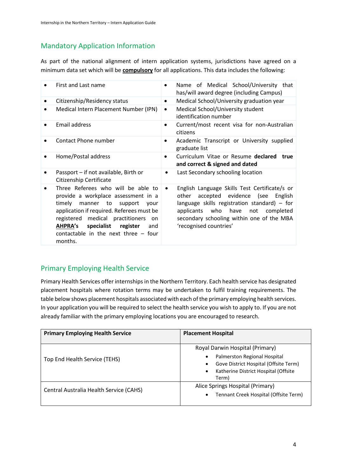# Mandatory Application Information

As part of the national alignment of intern application systems, jurisdictions have agreed on a minimum data set which will be **compulsory** for all applications. This data includes the following:

| First and Last name                                                                                                                                                                                                                                                                                                 | ٠         | Name of Medical School/University that<br>has/will award degree (including Campus)                                                                                                                                                                                     |
|---------------------------------------------------------------------------------------------------------------------------------------------------------------------------------------------------------------------------------------------------------------------------------------------------------------------|-----------|------------------------------------------------------------------------------------------------------------------------------------------------------------------------------------------------------------------------------------------------------------------------|
| Citizenship/Residency status                                                                                                                                                                                                                                                                                        | $\bullet$ | Medical School/University graduation year                                                                                                                                                                                                                              |
| Medical Intern Placement Number (IPN)                                                                                                                                                                                                                                                                               | $\bullet$ | Medical School/University student<br>identification number                                                                                                                                                                                                             |
| Email address                                                                                                                                                                                                                                                                                                       | ٠         | Current/most recent visa for non-Australian<br>citizens                                                                                                                                                                                                                |
| Contact Phone number                                                                                                                                                                                                                                                                                                | ٠         | Academic Transcript or University supplied<br>graduate list                                                                                                                                                                                                            |
| Home/Postal address                                                                                                                                                                                                                                                                                                 | $\bullet$ | Curriculum Vitae or Resume declared<br>true<br>and correct & signed and dated                                                                                                                                                                                          |
| Passport – if not available, Birth or<br>Citizenship Certificate                                                                                                                                                                                                                                                    |           | Last Secondary schooling location                                                                                                                                                                                                                                      |
| Three Referees who will be able to<br>provide a workplace assessment in a<br>manner<br>to<br>timely<br>support<br>vour<br>application if required. Referees must be<br>registered medical practitioners<br>on.<br><b>AHPRA's</b><br>specialist register<br>and<br>contactable in the next three $-$ four<br>months. |           | English Language Skills Test Certificate/s or<br>accepted evidence<br>(see<br>other<br>English<br>language skills registration standard) - for<br>who<br>have<br>not<br>applicants<br>completed<br>secondary schooling within one of the MBA<br>'recognised countries' |

# Primary Employing Health Service

Primary Health Services offer internships in the Northern Territory. Each health service has designated placement hospitals where rotation terms may be undertaken to fulfil training requirements. The table below shows placement hospitals associated with each of the primary employing health services. In your application you will be required to select the health service you wish to apply to. If you are not already familiar with the primary employing locations you are encouraged to research.

| <b>Primary Employing Health Service</b> | <b>Placement Hospital</b>                                                                                                                                                        |
|-----------------------------------------|----------------------------------------------------------------------------------------------------------------------------------------------------------------------------------|
| Top End Health Service (TEHS)           | Royal Darwin Hospital (Primary)<br>Palmerston Regional Hospital<br>٠<br>Gove District Hospital (Offsite Term)<br>٠<br>Katherine District Hospital (Offsite<br>$\bullet$<br>Term) |
| Central Australia Health Service (CAHS) | Alice Springs Hospital (Primary)<br>Tennant Creek Hospital (Offsite Term)                                                                                                        |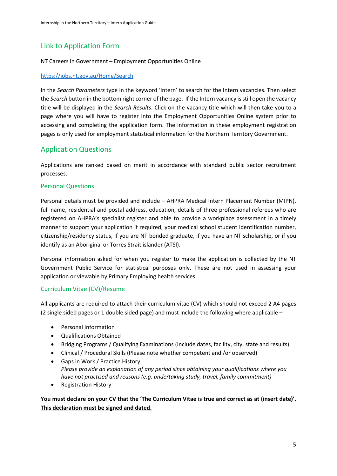# Link to Application Form

#### NT Careers in Government – Employment Opportunities Online

#### <https://jobs.nt.gov.au/Home/Search>

In the *Search Parameters* type in the keyword 'Intern' to search for the Intern vacancies. Then select the *Search* button in the bottom right corner of the page. If the Intern vacancy isstill open the vacancy title will be displayed in the *Search Results*. Click on the vacancy title which will then take you to a page where you will have to register into the Employment Opportunities Online system prior to accessing and completing the application form. The information in these employment registration pages is only used for employment statistical information for the Northern Territory Government.

# Application Questions

Applications are ranked based on merit in accordance with standard public sector recruitment processes.

# Personal Questions

Personal details must be provided and include – AHPRA Medical Intern Placement Number (MIPN), full name, residential and postal address, education, details of three professional referees who are registered on AHPRA's specialist register and able to provide a workplace assessment in a timely manner to support your application if required, your medical school student identification number, citizenship/residency status, if you are NT bonded graduate, if you have an NT scholarship, or if you identify as an Aboriginal or Torres Strait islander (ATSI).

Personal information asked for when you register to make the application is collected by the NT Government Public Service for statistical purposes only. These are not used in assessing your application or viewable by Primary Employing health services.

# Curriculum Vitae (CV)/Resume

All applicants are required to attach their curriculum vitae (CV) which should not exceed 2 A4 pages (2 single sided pages or 1 double sided page) and must include the following where applicable –

- Personal Information
- Qualifications Obtained
- Bridging Programs / Qualifying Examinations (Include dates, facility, city, state and results)
- Clinical / Procedural Skills (Please note whether competent and /or observed)
- Gaps in Work / Practice History *Please provide an explanation of any period since obtaining your qualifications where you have not practised and reasons (e.g. undertaking study, travel, family commitment)*
- Registration History

**You must declare on your CV that the 'The Curriculum Vitae is true and correct as at (insert date)'. This declaration must be signed and dated.**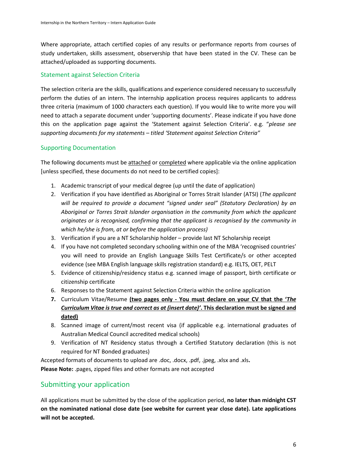Where appropriate, attach certified copies of any results or performance reports from courses of study undertaken, skills assessment, observership that have been stated in the CV. These can be attached/uploaded as supporting documents.

# Statement against Selection Criteria

The selection criteria are the skills, qualifications and experience considered necessary to successfully perform the duties of an intern. The internship application process requires applicants to address three criteria (maximum of 1000 characters each question). If you would like to write more you will need to attach a separate document under 'supporting documents'. Please indicate if you have done this on the application page against the 'Statement against Selection Criteria'. e.g. "*please see supporting documents for my statements – titled 'Statement against Selection Criteria"*

# Supporting Documentation

The following documents must be attached or completed where applicable via the online application [unless specified, these documents do not need to be certified copies]:

- 1. Academic transcript of your medical degree (up until the date of application)
- 2. Verification if you have identified as Aboriginal or Torres Strait Islander (ATSI) (*The applicant will be required to provide a document "signed under seal" (Statutory Declaration) by an Aboriginal or Torres Strait Islander organisation in the community from which the applicant originates or is recognised, confirming that the applicant is recognised by the community in which he/she is from, at or before the application process)*
- 3. Verification if you are a NT Scholarship holder provide last NT Scholarship receipt
- 4. If you have not completed secondary schooling within one of the MBA 'recognised countries' you will need to provide an English Language Skills Test Certificate/s or other accepted evidence (see MBA English language skills registration standard) e.g. IELTS, OET, PELT
- 5. Evidence of citizenship/residency status e.g. scanned image of passport, birth certificate or citizenship certificate
- 6. Responses to the Statement against Selection Criteria within the online application
- **7.** Curriculum Vitae/Resume **(two pages only - You must declare on your CV that the '***The Curriculum Vitae is true and correct as at (insert date)'***. This declaration must be signed and dated)**
- 8. Scanned image of current/most recent visa (if applicable e.g. international graduates of Australian Medical Council accredited medical schools)
- 9. Verification of NT Residency status through a Certified Statutory declaration (this is not required for NT Bonded graduates)

Accepted formats of documents to upload are .doc, .docx, .pdf, .jpeg, .xlsx and .xls**. Please Note:** .pages, zipped files and other formats are not accepted

# Submitting your application

All applications must be submitted by the close of the application period, **no later than midnight CST on the nominated national close date (see website for current year close date). Late applications will not be accepted.**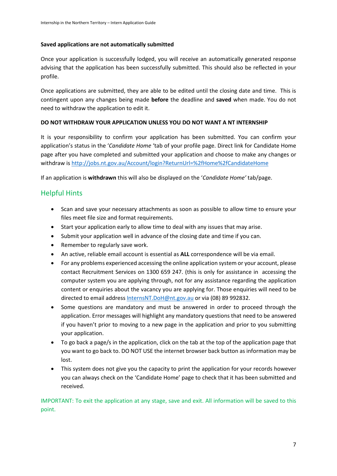#### **Saved applications are not automatically submitted**

Once your application is successfully lodged, you will receive an automatically generated response advising that the application has been successfully submitted. This should also be reflected in your profile.

Once applications are submitted, they are able to be edited until the closing date and time. This is contingent upon any changes being made **before** the deadline and **saved** when made. You do not need to withdraw the application to edit it.

#### **DO NOT WITHDRAW YOUR APPLICATION UNLESS YOU DO NOT WANT A NT INTERNSHIP**

It is your responsibility to confirm your application has been submitted. You can confirm your application's status in the '*Candidate Home* 'tab of your profile page. Direct link for Candidate Home page after you have completed and submitted your application and choose to make any changes or withdraw i[s http://jobs.nt.gov.au/Account/login?ReturnUrl=%2fHome%2fCandidateHome](http://jobs.nt.gov.au/Account/login?ReturnUrl=%2fHome%2fCandidateHome)

If an application is **withdrawn** this will also be displayed on the '*Candidate Home'* tab/page.

# Helpful Hints

- Scan and save your necessary attachments as soon as possible to allow time to ensure your files meet file size and format requirements.
- Start your application early to allow time to deal with any issues that may arise.
- Submit your application well in advance of the closing date and time if you can.
- Remember to regularly save work.
- An active, reliable email account is essential as **ALL** correspondence will be via email.
- For any problems experienced accessing the online application system or your account, please contact Recruitment Services on 1300 659 247. (this is only for assistance in accessing the computer system you are applying through, not for any assistance regarding the application content or enquiries about the vacancy you are applying for. Those enquiries will need to be directed to email address [InternsNT.DoH@nt.gov.au](mailto:InternsNT.DoH@nt.gov.au) or via (08) 89 992832.
- Some questions are mandatory and must be answered in order to proceed through the application. Error messages will highlight any mandatory questions that need to be answered if you haven't prior to moving to a new page in the application and prior to you submitting your application.
- To go back a page/s in the application, click on the tab at the top of the application page that you want to go back to. DO NOT USE the internet browser back button as information may be lost.
- This system does not give you the capacity to print the application for your records however you can always check on the 'Candidate Home' page to check that it has been submitted and received.

IMPORTANT: To exit the application at any stage, save and exit. All information will be saved to this point.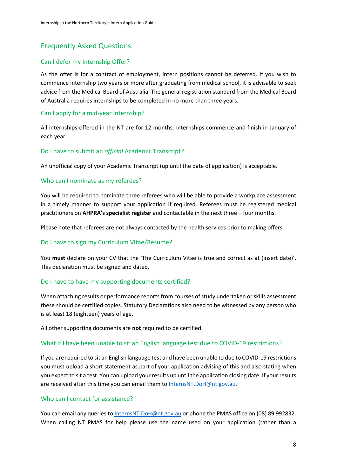# Frequently Asked Questions

# Can I defer my Internship Offer?

As the offer is for a contract of employment, intern positions cannot be deferred. If you wish to commence internship two years or more after graduating from medical school, it is advisable to seek advice from the Medical Board of Australia. The general registration standard from the Medical Board of Australia requires internships to be completed in no more than three years.

#### Can I apply for a mid-year Internship?

All internships offered in the NT are for 12 months. Internships commence and finish in January of each year.

#### Do I have to submit an *official* Academic Transcript?

An unofficial copy of your Academic Transcript (up until the date of application) is acceptable.

#### Who can I nominate as my referees?

You will be required to nominate three referees who will be able to provide a workplace assessment in a timely manner to support your application if required. Referees must be registered medical practitioners on **AHPRA's specialist register** and contactable in the next three – four months.

Please note that referees are not always contacted by the health services prior to making offers.

#### Do I have to sign my Curriculum Vitae/Resume?

You **must** declare on your CV that the 'The Curriculum Vitae is true and correct as at (insert date)'. This declaration must be signed and dated.

#### Do I have to have my supporting documents certified?

When attaching results or performance reports from courses of study undertaken or skills assessment these should be certified copies. Statutory Declarations also need to be witnessed by any person who is at least 18 (eighteen) years of age.

All other supporting documents are **not** required to be certified.

#### What if I have been unable to sit an English language test due to COVID-19 restrictions?

If you are required to sit an English language test and have been unable to due to COVID-19 restrictions you must upload a short statement as part of your application advising of this and also stating when you expect to sit a test. You can upload your results up until the application closing date. If your results are received after this time you can email them to [InternsNT.DoH@nt.gov.au.](mailto:InternsNT.DoH@nt.gov.au)

#### Who can I contact for assistance?

You can email any queries to [InternsNT.DoH@nt.gov.au](mailto:InternsNT.DoH@nt.gov.au) or phone the PMAS office on (08) 89 992832. When calling NT PMAS for help please use the name used on your application (rather than a